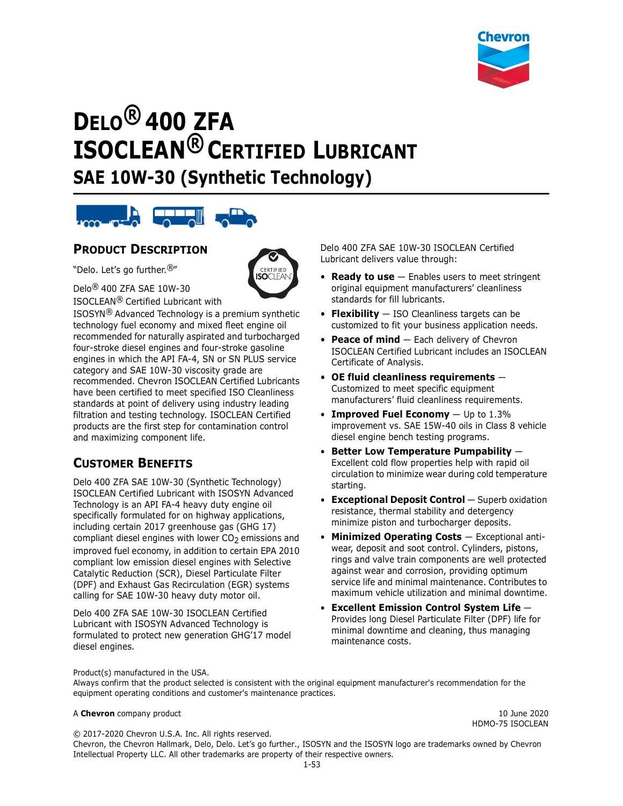

# **DELO® 400 ZFA ISOCLEAN® CERTIFIED LUBRICANT SAE 10W-30 (Synthetic Technology)**



#### **PRODUCT DESCRIPTION**

"Delo. Let's go further.®"



Delo® 400 ZFA SAE 10W-30 ISOCLEAN® Certified Lubricant with

ISOSYN® Advanced Technology is a premium synthetic technology fuel economy and mixed fleet engine oil recommended for naturally aspirated and turbocharged four-stroke diesel engines and four-stroke gasoline engines in which the API FA-4, SN or SN PLUS service category and SAE 10W-30 viscosity grade are recommended. Chevron ISOCLEAN Certified Lubricants have been certified to meet specified ISO Cleanliness standards at point of delivery using industry leading filtration and testing technology. ISOCLEAN Certified products are the first step for contamination control and maximizing component life.

## **CUSTOMER BENEFITS**

Delo 400 ZFA SAE 10W-30 (Synthetic Technology) ISOCLEAN Certified Lubricant with ISOSYN Advanced Technology is an API FA-4 heavy duty engine oil specifically formulated for on highway applications, including certain 2017 greenhouse gas (GHG 17) compliant diesel engines with lower  $CO<sub>2</sub>$  emissions and improved fuel economy, in addition to certain EPA 2010 compliant low emission diesel engines with Selective Catalytic Reduction (SCR), Diesel Particulate Filter (DPF) and Exhaust Gas Recirculation (EGR) systems calling for SAE 10W-30 heavy duty motor oil.

Delo 400 ZFA SAE 10W-30 ISOCLEAN Certified Lubricant with ISOSYN Advanced Technology is formulated to protect new generation GHG'17 model diesel engines.

Delo 400 ZFA SAE 10W-30 ISOCLEAN Certified Lubricant delivers value through:

- **Ready to use** Enables users to meet stringent original equipment manufacturers' cleanliness standards for fill lubricants.
- **Flexibility** ISO Cleanliness targets can be customized to fit your business application needs.
- **Peace of mind** Each delivery of Chevron ISOCLEAN Certified Lubricant includes an ISOCLEAN Certificate of Analysis.
- **OE fluid cleanliness requirements** Customized to meet specific equipment manufacturers' fluid cleanliness requirements.
- **Improved Fuel Economy** Up to 1.3% improvement vs. SAE 15W-40 oils in Class 8 vehicle diesel engine bench testing programs.
- **Better Low Temperature Pumpability** Excellent cold flow properties help with rapid oil circulation to minimize wear during cold temperature starting.
- **Exceptional Deposit Control** Superb oxidation resistance, thermal stability and detergency minimize piston and turbocharger deposits.
- **Minimized Operating Costs** Exceptional antiwear, deposit and soot control. Cylinders, pistons, rings and valve train components are well protected against wear and corrosion, providing optimum service life and minimal maintenance. Contributes to maximum vehicle utilization and minimal downtime.
- **Excellent Emission Control System Life** Provides long Diesel Particulate Filter (DPF) life for minimal downtime and cleaning, thus managing maintenance costs.

Product(s) manufactured in the USA.

Always confirm that the product selected is consistent with the original equipment manufacturer's recommendation for the equipment operating conditions and customer's maintenance practices.

#### A **Chevron** company product **10 Automaker 2020 10 June 2020 10 June 2020**

HDMO-75 ISOCLEAN

© 2017-2020 Chevron U.S.A. Inc. All rights reserved. Chevron, the Chevron Hallmark, Delo, Delo. Let's go further., ISOSYN and the ISOSYN logo are trademarks owned by Chevron Intellectual Property LLC. All other trademarks are property of their respective owners.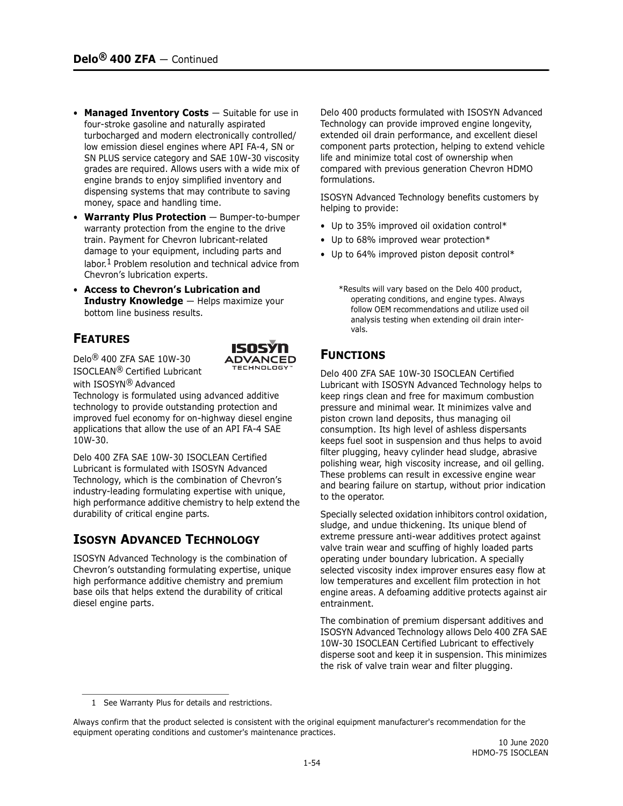- **Managed Inventory Costs** Suitable for use in four-stroke gasoline and naturally aspirated turbocharged and modern electronically controlled/ low emission diesel engines where API FA-4, SN or SN PLUS service category and SAE 10W-30 viscosity grades are required. Allows users with a wide mix of engine brands to enjoy simplified inventory and dispensing systems that may contribute to saving money, space and handling time.
- **Warranty Plus Protection** Bumper-to-bumper warranty protection from the engine to the drive train. Payment for Chevron lubricant-related damage to your equipment, including parts and labor.<sup>1</sup> Problem resolution and technical advice from Chevron's lubrication experts.
- **Access to Chevron's Lubrication and Industry Knowledge** — Helps maximize your bottom line business results.

#### **FEATURES**

Delo® 400 ZFA SAE 10W-30 ISOCLEAN® Certified Lubricant

with ISOSYN® Advanced

Technology is formulated using advanced additive technology to provide outstanding protection and improved fuel economy for on-highway diesel engine applications that allow the use of an API FA-4 SAE 10W-30.

**ADVANCED** 

Delo 400 ZFA SAE 10W-30 ISOCLEAN Certified Lubricant is formulated with ISOSYN Advanced Technology, which is the combination of Chevron's industry-leading formulating expertise with unique, high performance additive chemistry to help extend the durability of critical engine parts.

## **ISOSYN ADVANCED TECHNOLOGY**

ISOSYN Advanced Technology is the combination of Chevron's outstanding formulating expertise, unique high performance additive chemistry and premium base oils that helps extend the durability of critical diesel engine parts.

Delo 400 products formulated with ISOSYN Advanced Technology can provide improved engine longevity, extended oil drain performance, and excellent diesel component parts protection, helping to extend vehicle life and minimize total cost of ownership when compared with previous generation Chevron HDMO formulations.

ISOSYN Advanced Technology benefits customers by helping to provide:

- Up to 35% improved oil oxidation control\*
- Up to 68% improved wear protection\*
- Up to 64% improved piston deposit control\*
	- \*Results will vary based on the Delo 400 product, operating conditions, and engine types. Always follow OEM recommendations and utilize used oil analysis testing when extending oil drain intervals.

## **FUNCTIONS**

Delo 400 ZFA SAE 10W-30 ISOCLEAN Certified Lubricant with ISOSYN Advanced Technology helps to keep rings clean and free for maximum combustion pressure and minimal wear. It minimizes valve and piston crown land deposits, thus managing oil consumption. Its high level of ashless dispersants keeps fuel soot in suspension and thus helps to avoid filter plugging, heavy cylinder head sludge, abrasive polishing wear, high viscosity increase, and oil gelling. These problems can result in excessive engine wear and bearing failure on startup, without prior indication to the operator.

Specially selected oxidation inhibitors control oxidation, sludge, and undue thickening. Its unique blend of extreme pressure anti-wear additives protect against valve train wear and scuffing of highly loaded parts operating under boundary lubrication. A specially selected viscosity index improver ensures easy flow at low temperatures and excellent film protection in hot engine areas. A defoaming additive protects against air entrainment.

The combination of premium dispersant additives and ISOSYN Advanced Technology allows Delo 400 ZFA SAE 10W-30 ISOCLEAN Certified Lubricant to effectively disperse soot and keep it in suspension. This minimizes the risk of valve train wear and filter plugging.

<sup>1</sup> See Warranty Plus for details and restrictions.

Always confirm that the product selected is consistent with the original equipment manufacturer's recommendation for the equipment operating conditions and customer's maintenance practices.